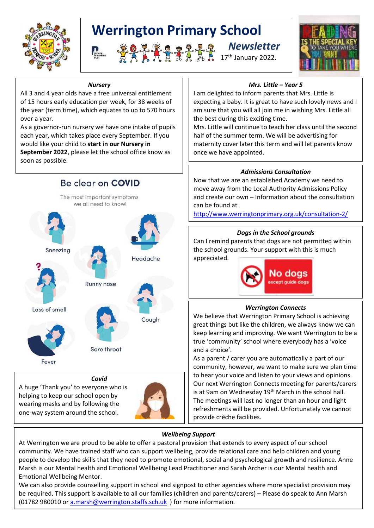

# **Werrington Primary School**

 *Newsletter* <del>『</del> 点入入力是まれ朵れ 17th January 2022.



### *Nursery*

All 3 and 4 year olds have a free universal entitlement of 15 hours early education per week, for 38 weeks of the year (term time), which equates to up to 570 hours over a year.

As a governor-run nursery we have one intake of pupils each year, which takes place every September. If you would like your child to **start in our Nursery in September 2022**, please let the school office know as soon as possible.



helping to keep our school open by wearing masks and by following the one-way system around the school.



### *Mrs. Little – Year 5*

I am delighted to inform parents that Mrs. Little is expecting a baby. It is great to have such lovely news and I am sure that you will all join me in wishing Mrs. Little all the best during this exciting time.

Mrs. Little will continue to teach her class until the second half of the summer term. We will be advertising for maternity cover later this term and will let parents know once we have appointed.

### *Admissions Consultation*

Now that we are an established Academy we need to move away from the Local Authority Admissions Policy and create our own – Information about the consultation can be found at

<http://www.werringtonprimary.org.uk/consultation-2/>

### *Dogs in the School grounds*

Can I remind parents that dogs are not permitted within the school grounds. Your support with this is much appreciated.



### *Werrington Connects*

We believe that Werrington Primary School is achieving great things but like the children, we always know we can keep learning and improving. We want Werrington to be a true 'community' school where everybody has a 'voice and a choice'.

As a parent / carer you are automatically a part of our community, however, we want to make sure we plan time to hear your voice and listen to your views and opinions. Our next Werrington Connects meeting for parents/carers is at 9am on Wednesday  $19<sup>th</sup>$  March in the school hall. The meetings will last no longer than an hour and light refreshments will be provided. Unfortunately we cannot provide crèche facilities.

## *Wellbeing Support*

At Werrington we are proud to be able to offer a pastoral provision that extends to every aspect of our school community. We have trained staff who can support wellbeing, provide relational care and help children and young people to develop the skills that they need to promote emotional, social and psychological growth and resilience. Anne Marsh is our Mental health and Emotional Wellbeing Lead Practitioner and Sarah Archer is our Mental health and Emotional Wellbeing Mentor.

We can also provide counselling support in school and signpost to other agencies where more specialist provision may be required. This support is available to all our families (children and parents/carers) – Please do speak to Ann Marsh (01782 980010 or [a.marsh@werrington.staffs.sch.uk](mailto:a.marsh@werrington.staffs.sch.uk) ) for more information.